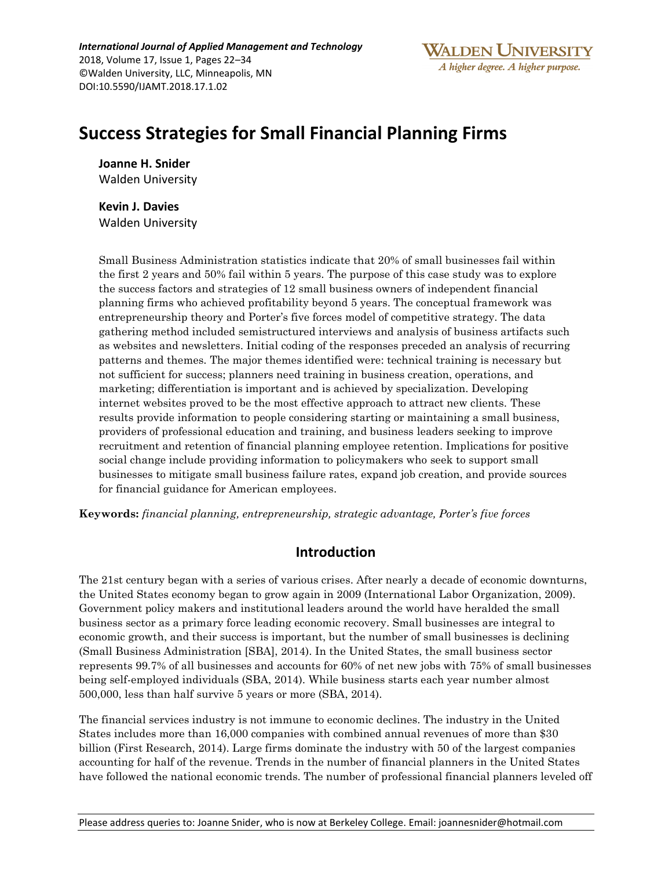*International Journal of Applied Management and Technology* 2018, Volume 17, Issue 1, Pages 22–34 ©Walden University, LLC, Minneapolis, MN DOI:10.5590/IJAMT.2018.17.1.02

# **Success Strategies for Small Financial Planning Firms**

**Joanne H. Snider**  Walden University

**Kevin J. Davies** Walden University

Small Business Administration statistics indicate that 20% of small businesses fail within the first 2 years and 50% fail within 5 years. The purpose of this case study was to explore the success factors and strategies of 12 small business owners of independent financial planning firms who achieved profitability beyond 5 years. The conceptual framework was entrepreneurship theory and Porter's five forces model of competitive strategy. The data gathering method included semistructured interviews and analysis of business artifacts such as websites and newsletters. Initial coding of the responses preceded an analysis of recurring patterns and themes. The major themes identified were: technical training is necessary but not sufficient for success; planners need training in business creation, operations, and marketing; differentiation is important and is achieved by specialization. Developing internet websites proved to be the most effective approach to attract new clients. These results provide information to people considering starting or maintaining a small business, providers of professional education and training, and business leaders seeking to improve recruitment and retention of financial planning employee retention. Implications for positive social change include providing information to policymakers who seek to support small businesses to mitigate small business failure rates, expand job creation, and provide sources for financial guidance for American employees.

**Keywords:** *financial planning, entrepreneurship, strategic advantage, Porter's five forces*

# **Introduction**

The 21st century began with a series of various crises. After nearly a decade of economic downturns, the United States economy began to grow again in 2009 (International Labor Organization, 2009). Government policy makers and institutional leaders around the world have heralded the small business sector as a primary force leading economic recovery. Small businesses are integral to economic growth, and their success is important, but the number of small businesses is declining (Small Business Administration [SBA], 2014). In the United States, the small business sector represents 99.7% of all businesses and accounts for 60% of net new jobs with 75% of small businesses being self-employed individuals (SBA, 2014). While business starts each year number almost 500,000, less than half survive 5 years or more (SBA, 2014).

The financial services industry is not immune to economic declines. The industry in the United States includes more than 16,000 companies with combined annual revenues of more than \$30 billion (First Research, 2014). Large firms dominate the industry with 50 of the largest companies accounting for half of the revenue. Trends in the number of financial planners in the United States have followed the national economic trends. The number of professional financial planners leveled off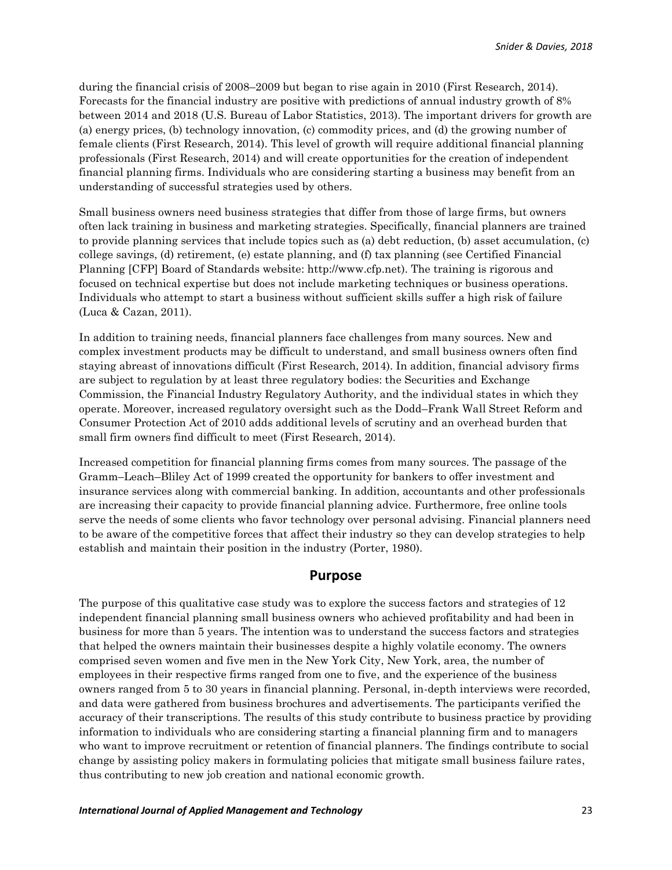during the financial crisis of 2008–2009 but began to rise again in 2010 (First Research, 2014). Forecasts for the financial industry are positive with predictions of annual industry growth of 8% between 2014 and 2018 (U.S. Bureau of Labor Statistics, 2013). The important drivers for growth are (a) energy prices, (b) technology innovation, (c) commodity prices, and (d) the growing number of female clients (First Research, 2014). This level of growth will require additional financial planning professionals (First Research, 2014) and will create opportunities for the creation of independent financial planning firms. Individuals who are considering starting a business may benefit from an understanding of successful strategies used by others.

Small business owners need business strategies that differ from those of large firms, but owners often lack training in business and marketing strategies. Specifically, financial planners are trained to provide planning services that include topics such as (a) debt reduction, (b) asset accumulation, (c) college savings, (d) retirement, (e) estate planning, and (f) tax planning (see Certified Financial Planning [CFP] Board of Standards website: http://www.cfp.net). The training is rigorous and focused on technical expertise but does not include marketing techniques or business operations. Individuals who attempt to start a business without sufficient skills suffer a high risk of failure (Luca & Cazan, 2011).

In addition to training needs, financial planners face challenges from many sources. New and complex investment products may be difficult to understand, and small business owners often find staying abreast of innovations difficult (First Research, 2014). In addition, financial advisory firms are subject to regulation by at least three regulatory bodies: the Securities and Exchange Commission, the Financial Industry Regulatory Authority, and the individual states in which they operate. Moreover, increased regulatory oversight such as the Dodd–Frank Wall Street Reform and Consumer Protection Act of 2010 adds additional levels of scrutiny and an overhead burden that small firm owners find difficult to meet (First Research, 2014).

Increased competition for financial planning firms comes from many sources. The passage of the Gramm–Leach–Bliley Act of 1999 created the opportunity for bankers to offer investment and insurance services along with commercial banking. In addition, accountants and other professionals are increasing their capacity to provide financial planning advice. Furthermore, free online tools serve the needs of some clients who favor technology over personal advising. Financial planners need to be aware of the competitive forces that affect their industry so they can develop strategies to help establish and maintain their position in the industry (Porter, 1980).

## **Purpose**

The purpose of this qualitative case study was to explore the success factors and strategies of 12 independent financial planning small business owners who achieved profitability and had been in business for more than 5 years. The intention was to understand the success factors and strategies that helped the owners maintain their businesses despite a highly volatile economy. The owners comprised seven women and five men in the New York City, New York, area, the number of employees in their respective firms ranged from one to five, and the experience of the business owners ranged from 5 to 30 years in financial planning. Personal, in-depth interviews were recorded, and data were gathered from business brochures and advertisements. The participants verified the accuracy of their transcriptions. The results of this study contribute to business practice by providing information to individuals who are considering starting a financial planning firm and to managers who want to improve recruitment or retention of financial planners. The findings contribute to social change by assisting policy makers in formulating policies that mitigate small business failure rates, thus contributing to new job creation and national economic growth.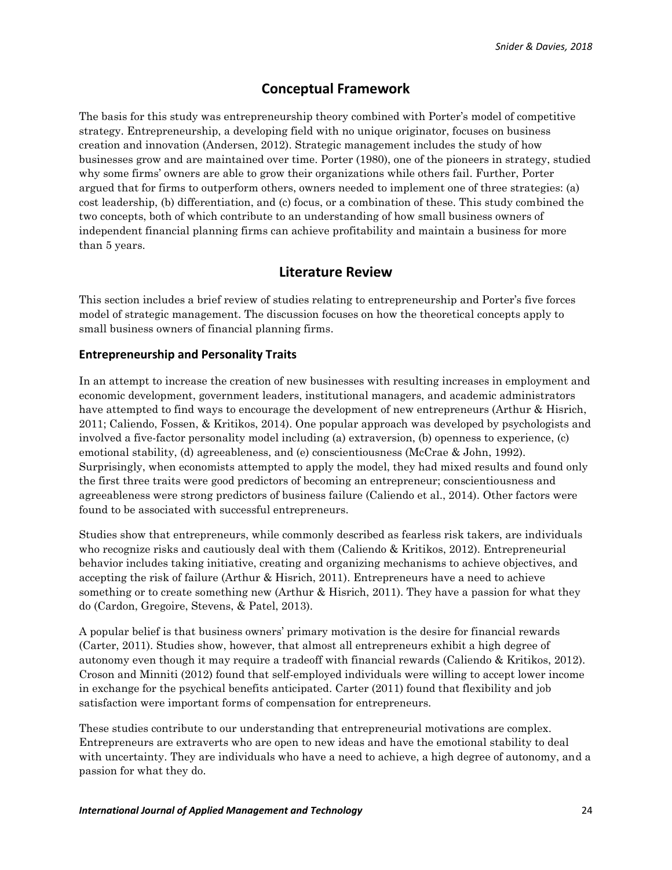# **Conceptual Framework**

The basis for this study was entrepreneurship theory combined with Porter's model of competitive strategy. Entrepreneurship, a developing field with no unique originator, focuses on business creation and innovation (Andersen, 2012). Strategic management includes the study of how businesses grow and are maintained over time. Porter (1980), one of the pioneers in strategy, studied why some firms' owners are able to grow their organizations while others fail. Further, Porter argued that for firms to outperform others, owners needed to implement one of three strategies: (a) cost leadership, (b) differentiation, and (c) focus, or a combination of these. This study combined the two concepts, both of which contribute to an understanding of how small business owners of independent financial planning firms can achieve profitability and maintain a business for more than 5 years.

## **Literature Review**

This section includes a brief review of studies relating to entrepreneurship and Porter's five forces model of strategic management. The discussion focuses on how the theoretical concepts apply to small business owners of financial planning firms.

#### **Entrepreneurship and Personality Traits**

In an attempt to increase the creation of new businesses with resulting increases in employment and economic development, government leaders, institutional managers, and academic administrators have attempted to find ways to encourage the development of new entrepreneurs (Arthur & Hisrich, 2011; Caliendo, Fossen, & Kritikos, 2014). One popular approach was developed by psychologists and involved a five-factor personality model including (a) extraversion, (b) openness to experience, (c) emotional stability, (d) agreeableness, and (e) conscientiousness (McCrae & John, 1992). Surprisingly, when economists attempted to apply the model, they had mixed results and found only the first three traits were good predictors of becoming an entrepreneur; conscientiousness and agreeableness were strong predictors of business failure (Caliendo et al., 2014). Other factors were found to be associated with successful entrepreneurs.

Studies show that entrepreneurs, while commonly described as fearless risk takers, are individuals who recognize risks and cautiously deal with them (Caliendo & Kritikos, 2012). Entrepreneurial behavior includes taking initiative, creating and organizing mechanisms to achieve objectives, and accepting the risk of failure (Arthur & Hisrich, 2011). Entrepreneurs have a need to achieve something or to create something new (Arthur & Hisrich, 2011). They have a passion for what they do (Cardon, Gregoire, Stevens, & Patel, 2013).

A popular belief is that business owners' primary motivation is the desire for financial rewards (Carter, 2011). Studies show, however, that almost all entrepreneurs exhibit a high degree of autonomy even though it may require a tradeoff with financial rewards (Caliendo & Kritikos, 2012). Croson and Minniti (2012) found that self-employed individuals were willing to accept lower income in exchange for the psychical benefits anticipated. Carter (2011) found that flexibility and job satisfaction were important forms of compensation for entrepreneurs.

These studies contribute to our understanding that entrepreneurial motivations are complex. Entrepreneurs are extraverts who are open to new ideas and have the emotional stability to deal with uncertainty. They are individuals who have a need to achieve, a high degree of autonomy, and a passion for what they do.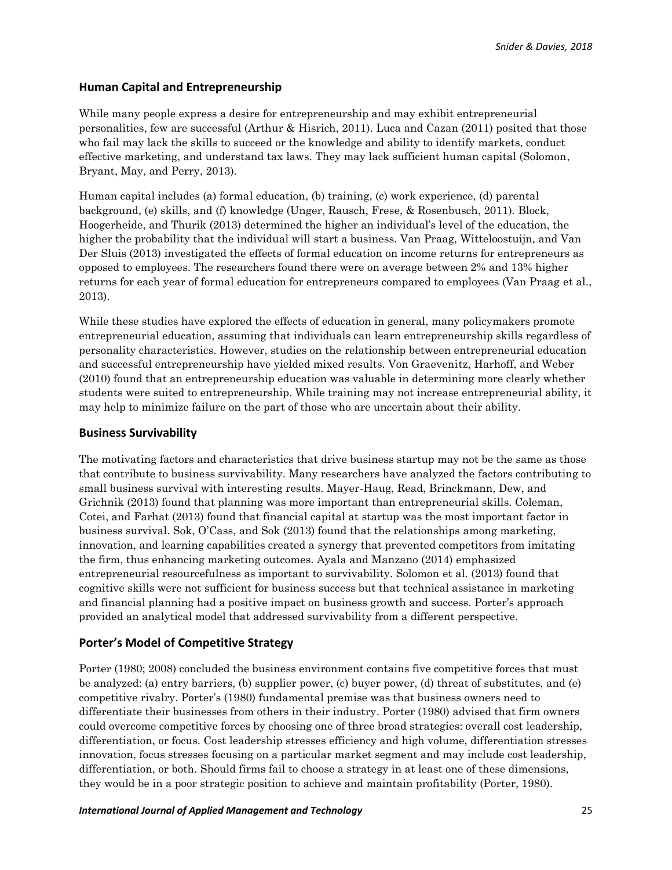## **Human Capital and Entrepreneurship**

While many people express a desire for entrepreneurship and may exhibit entrepreneurial personalities, few are successful (Arthur & Hisrich, 2011). Luca and Cazan (2011) posited that those who fail may lack the skills to succeed or the knowledge and ability to identify markets, conduct effective marketing, and understand tax laws. They may lack sufficient human capital (Solomon, Bryant, May, and Perry, 2013).

Human capital includes (a) formal education, (b) training, (c) work experience, (d) parental background, (e) skills, and (f) knowledge (Unger, Rausch, Frese, & Rosenbusch, 2011). Block, Hoogerheide, and Thurik (2013) determined the higher an individual's level of the education, the higher the probability that the individual will start a business. Van Praag, Witteloostuijn, and Van Der Sluis (2013) investigated the effects of formal education on income returns for entrepreneurs as opposed to employees. The researchers found there were on average between 2% and 13% higher returns for each year of formal education for entrepreneurs compared to employees (Van Praag et al., 2013).

While these studies have explored the effects of education in general, many policymakers promote entrepreneurial education, assuming that individuals can learn entrepreneurship skills regardless of personality characteristics. However, studies on the relationship between entrepreneurial education and successful entrepreneurship have yielded mixed results. Von Graevenitz, Harhoff, and Weber (2010) found that an entrepreneurship education was valuable in determining more clearly whether students were suited to entrepreneurship. While training may not increase entrepreneurial ability, it may help to minimize failure on the part of those who are uncertain about their ability.

#### **Business Survivability**

The motivating factors and characteristics that drive business startup may not be the same as those that contribute to business survivability. Many researchers have analyzed the factors contributing to small business survival with interesting results. Mayer-Haug, Read, Brinckmann, Dew, and Grichnik (2013) found that planning was more important than entrepreneurial skills. Coleman, Cotei, and Farhat (2013) found that financial capital at startup was the most important factor in business survival. Sok, O'Cass, and Sok (2013) found that the relationships among marketing, innovation, and learning capabilities created a synergy that prevented competitors from imitating the firm, thus enhancing marketing outcomes. Ayala and Manzano (2014) emphasized entrepreneurial resourcefulness as important to survivability. Solomon et al. (2013) found that cognitive skills were not sufficient for business success but that technical assistance in marketing and financial planning had a positive impact on business growth and success. Porter's approach provided an analytical model that addressed survivability from a different perspective.

## **Porter's Model of Competitive Strategy**

Porter (1980; 2008) concluded the business environment contains five competitive forces that must be analyzed: (a) entry barriers, (b) supplier power, (c) buyer power, (d) threat of substitutes, and (e) competitive rivalry. Porter's (1980) fundamental premise was that business owners need to differentiate their businesses from others in their industry. Porter (1980) advised that firm owners could overcome competitive forces by choosing one of three broad strategies: overall cost leadership, differentiation, or focus. Cost leadership stresses efficiency and high volume, differentiation stresses innovation, focus stresses focusing on a particular market segment and may include cost leadership, differentiation, or both. Should firms fail to choose a strategy in at least one of these dimensions, they would be in a poor strategic position to achieve and maintain profitability (Porter, 1980).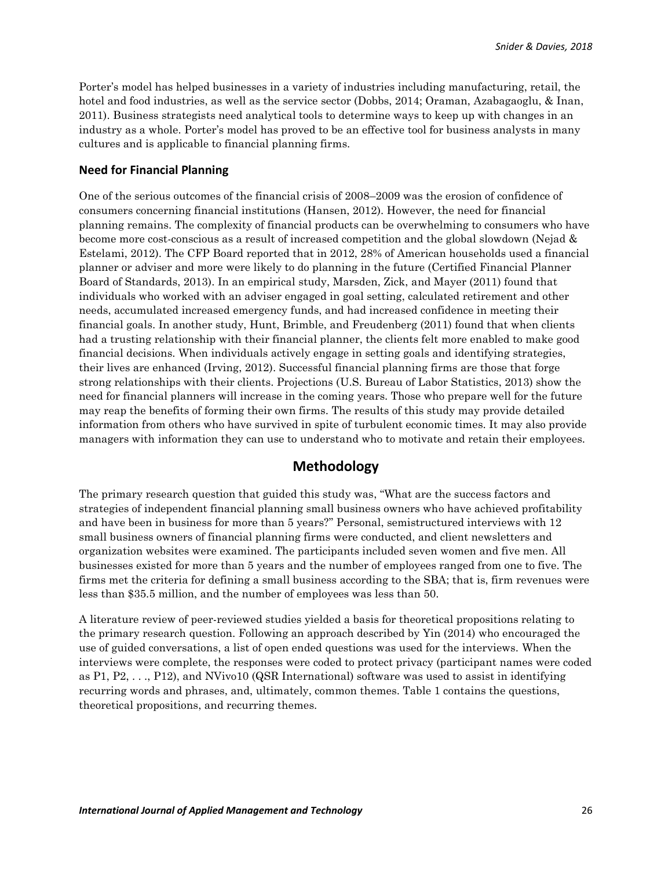Porter's model has helped businesses in a variety of industries including manufacturing, retail, the hotel and food industries, as well as the service sector (Dobbs, 2014; Oraman, Azabagaoglu, & Inan, 2011). Business strategists need analytical tools to determine ways to keep up with changes in an industry as a whole. Porter's model has proved to be an effective tool for business analysts in many cultures and is applicable to financial planning firms.

#### **Need for Financial Planning**

One of the serious outcomes of the financial crisis of 2008–2009 was the erosion of confidence of consumers concerning financial institutions (Hansen, 2012). However, the need for financial planning remains. The complexity of financial products can be overwhelming to consumers who have become more cost-conscious as a result of increased competition and the global slowdown (Nejad & Estelami, 2012). The CFP Board reported that in 2012, 28% of American households used a financial planner or adviser and more were likely to do planning in the future (Certified Financial Planner Board of Standards, 2013). In an empirical study, Marsden, Zick, and Mayer (2011) found that individuals who worked with an adviser engaged in goal setting, calculated retirement and other needs, accumulated increased emergency funds, and had increased confidence in meeting their financial goals. In another study, Hunt, Brimble, and Freudenberg (2011) found that when clients had a trusting relationship with their financial planner, the clients felt more enabled to make good financial decisions. When individuals actively engage in setting goals and identifying strategies, their lives are enhanced (Irving, 2012). Successful financial planning firms are those that forge strong relationships with their clients. Projections (U.S. Bureau of Labor Statistics, 2013) show the need for financial planners will increase in the coming years. Those who prepare well for the future may reap the benefits of forming their own firms. The results of this study may provide detailed information from others who have survived in spite of turbulent economic times. It may also provide managers with information they can use to understand who to motivate and retain their employees.

# **Methodology**

The primary research question that guided this study was, "What are the success factors and strategies of independent financial planning small business owners who have achieved profitability and have been in business for more than 5 years?" Personal, semistructured interviews with 12 small business owners of financial planning firms were conducted, and client newsletters and organization websites were examined. The participants included seven women and five men. All businesses existed for more than 5 years and the number of employees ranged from one to five. The firms met the criteria for defining a small business according to the SBA; that is, firm revenues were less than \$35.5 million, and the number of employees was less than 50.

A literature review of peer-reviewed studies yielded a basis for theoretical propositions relating to the primary research question. Following an approach described by Yin (2014) who encouraged the use of guided conversations, a list of open ended questions was used for the interviews. When the interviews were complete, the responses were coded to protect privacy (participant names were coded as P1, P2, . . ., P12), and NVivo10 (QSR International) software was used to assist in identifying recurring words and phrases, and, ultimately, common themes. Table 1 contains the questions, theoretical propositions, and recurring themes.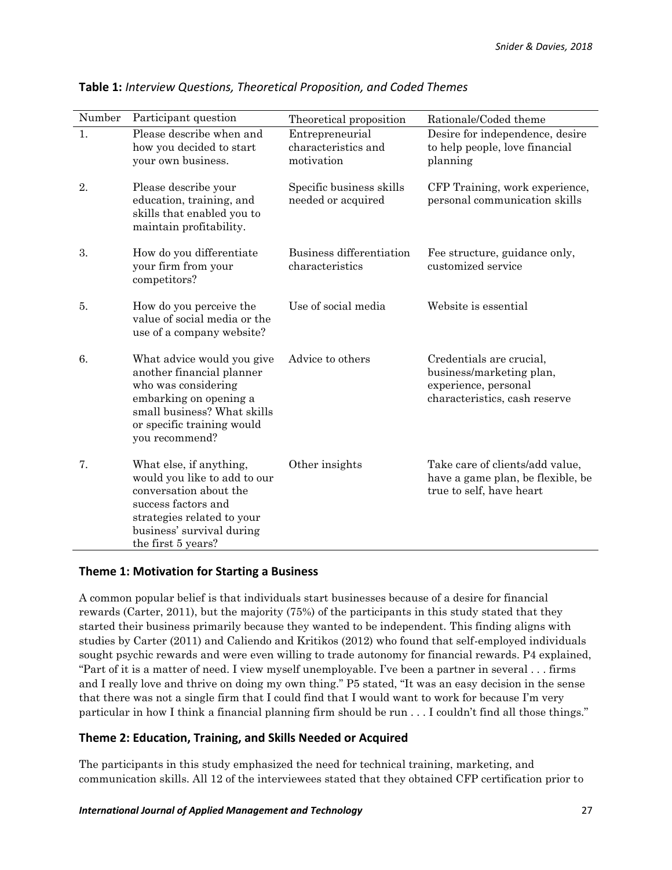| Number | Participant question                                                                                                                                                                      | Theoretical proposition                              | Rationale/Coded theme                                                                                         |
|--------|-------------------------------------------------------------------------------------------------------------------------------------------------------------------------------------------|------------------------------------------------------|---------------------------------------------------------------------------------------------------------------|
| 1.     | Please describe when and<br>how you decided to start<br>your own business.                                                                                                                | Entrepreneurial<br>characteristics and<br>motivation | Desire for independence, desire<br>to help people, love financial<br>planning                                 |
| 2.     | Please describe your<br>education, training, and<br>skills that enabled you to<br>maintain profitability.                                                                                 | Specific business skills<br>needed or acquired       | CFP Training, work experience,<br>personal communication skills                                               |
| 3.     | How do you differentiate<br>your firm from your<br>competitors?                                                                                                                           | Business differentiation<br>characteristics          | Fee structure, guidance only,<br>customized service                                                           |
| 5.     | How do you perceive the<br>value of social media or the<br>use of a company website?                                                                                                      | Use of social media                                  | Website is essential                                                                                          |
| 6.     | What advice would you give<br>another financial planner<br>who was considering<br>embarking on opening a<br>small business? What skills<br>or specific training would<br>you recommend?   | Advice to others                                     | Credentials are crucial,<br>business/marketing plan,<br>experience, personal<br>characteristics, cash reserve |
| 7.     | What else, if anything,<br>would you like to add to our<br>conversation about the<br>success factors and<br>strategies related to your<br>business' survival during<br>the first 5 years? | Other insights                                       | Take care of clients/add value,<br>have a game plan, be flexible, be<br>true to self, have heart              |

**Table 1:** *Interview Questions, Theoretical Proposition, and Coded Themes*

## **Theme 1: Motivation for Starting a Business**

A common popular belief is that individuals start businesses because of a desire for financial rewards (Carter, 2011), but the majority (75%) of the participants in this study stated that they started their business primarily because they wanted to be independent. This finding aligns with studies by Carter (2011) and Caliendo and Kritikos (2012) who found that self-employed individuals sought psychic rewards and were even willing to trade autonomy for financial rewards. P4 explained, "Part of it is a matter of need. I view myself unemployable. I've been a partner in several . . . firms and I really love and thrive on doing my own thing." P5 stated, "It was an easy decision in the sense that there was not a single firm that I could find that I would want to work for because I'm very particular in how I think a financial planning firm should be run . . . I couldn't find all those things."

## **Theme 2: Education, Training, and Skills Needed or Acquired**

The participants in this study emphasized the need for technical training, marketing, and communication skills. All 12 of the interviewees stated that they obtained CFP certification prior to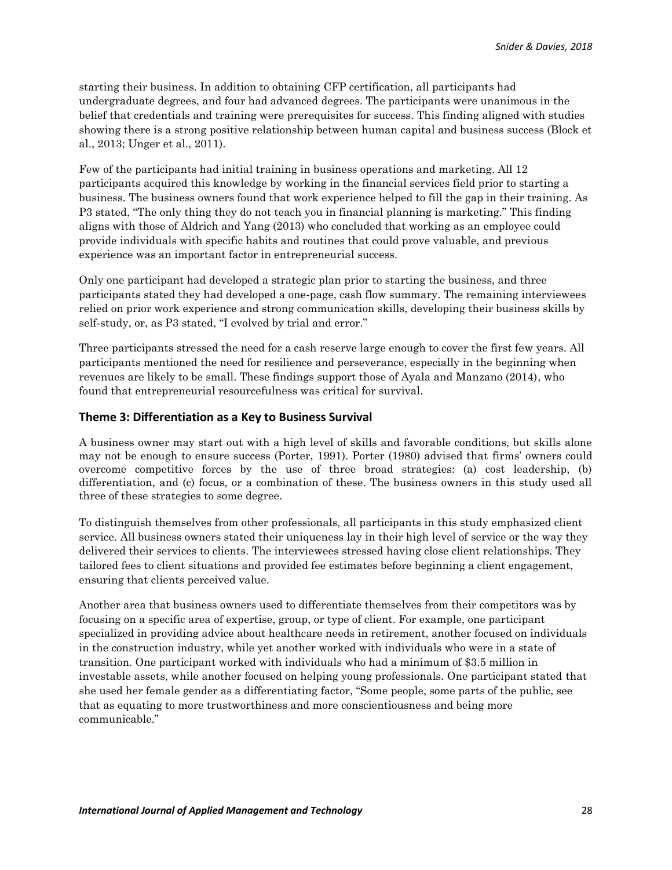starting their business. In addition to obtaining CFP certification, all participants had undergraduate degrees, and four had advanced degrees. The participants were unanimous in the belief that credentials and training were prerequisites for success. This finding aligned with studies showing there is a strong positive relationship between human capital and business success (Block et al., 2013; Unger et al., 2011).

Few of the participants had initial training in business operations and marketing. All 12 participants acquired this knowledge by working in the financial services field prior to starting a business. The business owners found that work experience helped to fill the gap in their training. As P3 stated, "The only thing they do not teach you in financial planning is marketing." This finding aligns with those of Aldrich and Yang (2013) who concluded that working as an employee could provide individuals with specific habits and routines that could prove valuable, and previous experience was an important factor in entrepreneurial success.

Only one participant had developed a strategic plan prior to starting the business, and three participants stated they had developed a one-page, cash flow summary. The remaining interviewees relied on prior work experience and strong communication skills, developing their business skills by self-study, or, as P3 stated, "I evolved by trial and error."

Three participants stressed the need for a cash reserve large enough to cover the first few years. All participants mentioned the need for resilience and perseverance, especially in the beginning when revenues are likely to be small. These findings support those of Ayala and Manzano (2014), who found that entrepreneurial resourcefulness was critical for survival.

#### **Theme 3: Differentiation as a Key to Business Survival**

A business owner may start out with a high level of skills and favorable conditions, but skills alone may not be enough to ensure success (Porter, 1991). Porter (1980) advised that firms' owners could overcome competitive forces by the use of three broad strategies: (a) cost leadership, (b) differentiation, and (c) focus, or a combination of these. The business owners in this study used all three of these strategies to some degree.

To distinguish themselves from other professionals, all participants in this study emphasized client service. All business owners stated their uniqueness lay in their high level of service or the way they delivered their services to clients. The interviewees stressed having close client relationships. They tailored fees to client situations and provided fee estimates before beginning a client engagement, ensuring that clients perceived value.

Another area that business owners used to differentiate themselves from their competitors was by focusing on a specific area of expertise, group, or type of client. For example, one participant specialized in providing advice about healthcare needs in retirement, another focused on individuals in the construction industry, while yet another worked with individuals who were in a state of transition. One participant worked with individuals who had a minimum of \$3.5 million in investable assets, while another focused on helping young professionals. One participant stated that she used her female gender as a differentiating factor, "Some people, some parts of the public, see that as equating to more trustworthiness and more conscientiousness and being more communicable."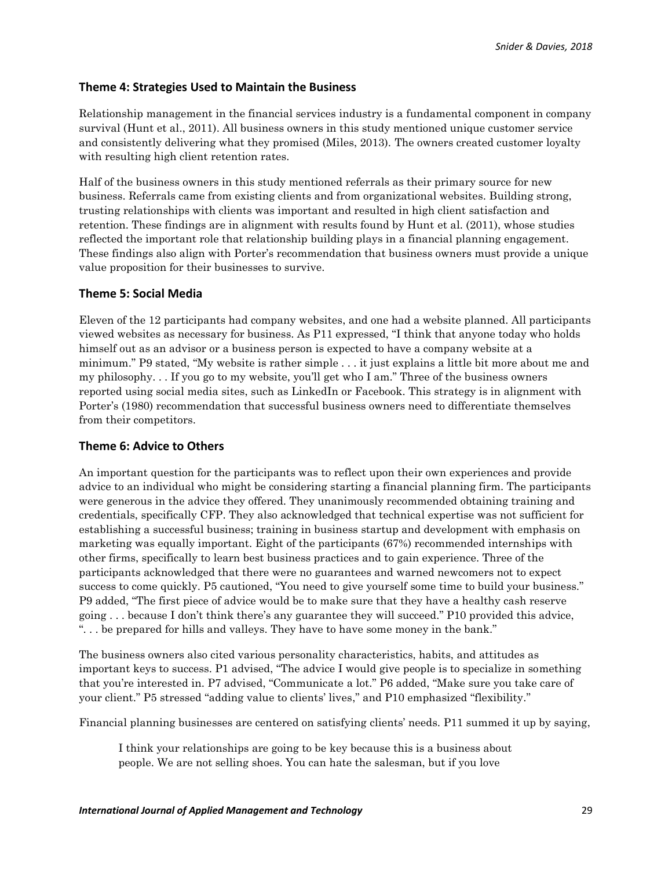#### **Theme 4: Strategies Used to Maintain the Business**

Relationship management in the financial services industry is a fundamental component in company survival (Hunt et al., 2011). All business owners in this study mentioned unique customer service and consistently delivering what they promised (Miles, 2013). The owners created customer loyalty with resulting high client retention rates.

Half of the business owners in this study mentioned referrals as their primary source for new business. Referrals came from existing clients and from organizational websites. Building strong, trusting relationships with clients was important and resulted in high client satisfaction and retention. These findings are in alignment with results found by Hunt et al. (2011), whose studies reflected the important role that relationship building plays in a financial planning engagement. These findings also align with Porter's recommendation that business owners must provide a unique value proposition for their businesses to survive.

#### **Theme 5: Social Media**

Eleven of the 12 participants had company websites, and one had a website planned. All participants viewed websites as necessary for business. As P11 expressed, "I think that anyone today who holds himself out as an advisor or a business person is expected to have a company website at a minimum." P9 stated, "My website is rather simple . . . it just explains a little bit more about me and my philosophy. . . If you go to my website, you'll get who I am." Three of the business owners reported using social media sites, such as LinkedIn or Facebook. This strategy is in alignment with Porter's (1980) recommendation that successful business owners need to differentiate themselves from their competitors.

#### **Theme 6: Advice to Others**

An important question for the participants was to reflect upon their own experiences and provide advice to an individual who might be considering starting a financial planning firm. The participants were generous in the advice they offered. They unanimously recommended obtaining training and credentials, specifically CFP. They also acknowledged that technical expertise was not sufficient for establishing a successful business; training in business startup and development with emphasis on marketing was equally important. Eight of the participants (67%) recommended internships with other firms, specifically to learn best business practices and to gain experience. Three of the participants acknowledged that there were no guarantees and warned newcomers not to expect success to come quickly. P5 cautioned, "You need to give yourself some time to build your business." P9 added, "The first piece of advice would be to make sure that they have a healthy cash reserve going . . . because I don't think there's any guarantee they will succeed." P10 provided this advice, ". . . be prepared for hills and valleys. They have to have some money in the bank."

The business owners also cited various personality characteristics, habits, and attitudes as important keys to success. P1 advised, "The advice I would give people is to specialize in something that you're interested in. P7 advised, "Communicate a lot." P6 added, "Make sure you take care of your client." P5 stressed "adding value to clients' lives," and P10 emphasized "flexibility."

Financial planning businesses are centered on satisfying clients' needs. P11 summed it up by saying,

I think your relationships are going to be key because this is a business about people. We are not selling shoes. You can hate the salesman, but if you love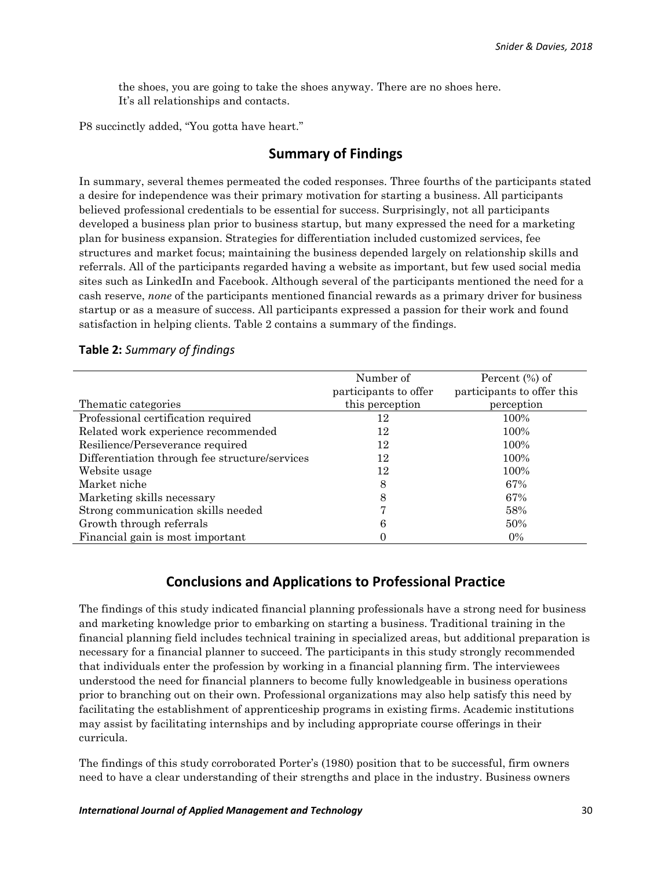the shoes, you are going to take the shoes anyway. There are no shoes here. It's all relationships and contacts.

P8 succinctly added, "You gotta have heart."

# **Summary of Findings**

In summary, several themes permeated the coded responses. Three fourths of the participants stated a desire for independence was their primary motivation for starting a business. All participants believed professional credentials to be essential for success. Surprisingly, not all participants developed a business plan prior to business startup, but many expressed the need for a marketing plan for business expansion. Strategies for differentiation included customized services, fee structures and market focus; maintaining the business depended largely on relationship skills and referrals. All of the participants regarded having a website as important, but few used social media sites such as LinkedIn and Facebook. Although several of the participants mentioned the need for a cash reserve, *none* of the participants mentioned financial rewards as a primary driver for business startup or as a measure of success. All participants expressed a passion for their work and found satisfaction in helping clients. Table 2 contains a summary of the findings.

|                                                | Number of             | Percent $(\%)$ of          |
|------------------------------------------------|-----------------------|----------------------------|
|                                                | participants to offer | participants to offer this |
| Thematic categories                            | this perception       | perception                 |
| Professional certification required            | 12                    | 100%                       |
| Related work experience recommended            | 12                    | 100%                       |
| Resilience/Perseverance required               | 12                    | 100%                       |
| Differentiation through fee structure/services | 12                    | 100%                       |
| Website usage                                  | 12                    | 100%                       |
| Market niche                                   | 8                     | 67%                        |
| Marketing skills necessary                     | 8                     | 67%                        |
| Strong communication skills needed             |                       | 58%                        |
| Growth through referrals                       | 6                     | 50%                        |
| Financial gain is most important               | U                     | $0\%$                      |

#### **Table 2:** *Summary of findings*

# **Conclusions and Applications to Professional Practice**

The findings of this study indicated financial planning professionals have a strong need for business and marketing knowledge prior to embarking on starting a business. Traditional training in the financial planning field includes technical training in specialized areas, but additional preparation is necessary for a financial planner to succeed. The participants in this study strongly recommended that individuals enter the profession by working in a financial planning firm. The interviewees understood the need for financial planners to become fully knowledgeable in business operations prior to branching out on their own. Professional organizations may also help satisfy this need by facilitating the establishment of apprenticeship programs in existing firms. Academic institutions may assist by facilitating internships and by including appropriate course offerings in their curricula.

The findings of this study corroborated Porter's (1980) position that to be successful, firm owners need to have a clear understanding of their strengths and place in the industry. Business owners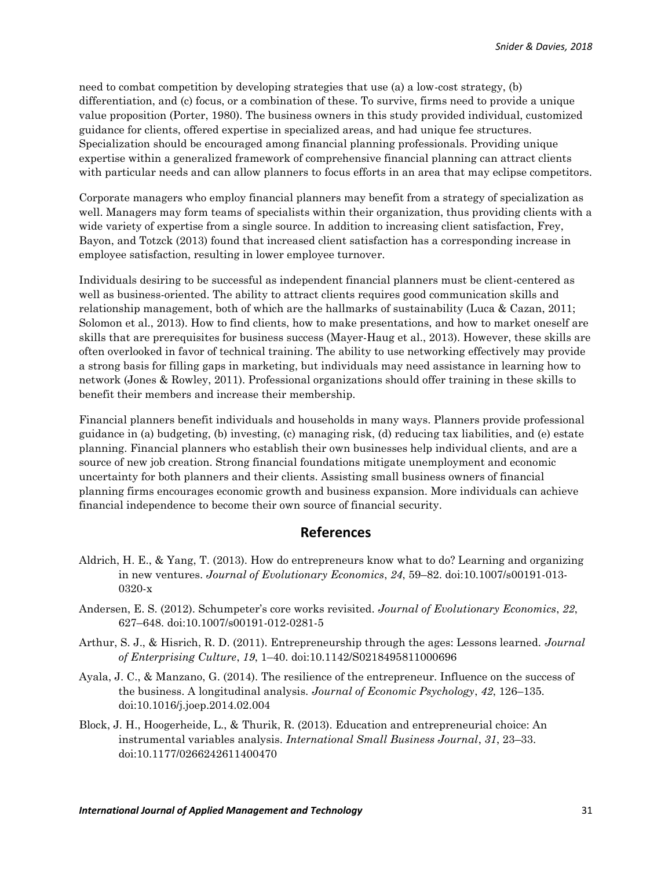need to combat competition by developing strategies that use (a) a low-cost strategy, (b) differentiation, and (c) focus, or a combination of these. To survive, firms need to provide a unique value proposition (Porter, 1980). The business owners in this study provided individual, customized guidance for clients, offered expertise in specialized areas, and had unique fee structures. Specialization should be encouraged among financial planning professionals. Providing unique expertise within a generalized framework of comprehensive financial planning can attract clients with particular needs and can allow planners to focus efforts in an area that may eclipse competitors.

Corporate managers who employ financial planners may benefit from a strategy of specialization as well. Managers may form teams of specialists within their organization, thus providing clients with a wide variety of expertise from a single source. In addition to increasing client satisfaction, Frey, Bayon, and Totzck (2013) found that increased client satisfaction has a corresponding increase in employee satisfaction, resulting in lower employee turnover.

Individuals desiring to be successful as independent financial planners must be client-centered as well as business-oriented. The ability to attract clients requires good communication skills and relationship management, both of which are the hallmarks of sustainability (Luca & Cazan, 2011; Solomon et al., 2013). How to find clients, how to make presentations, and how to market oneself are skills that are prerequisites for business success (Mayer-Haug et al., 2013). However, these skills are often overlooked in favor of technical training. The ability to use networking effectively may provide a strong basis for filling gaps in marketing, but individuals may need assistance in learning how to network (Jones & Rowley, 2011). Professional organizations should offer training in these skills to benefit their members and increase their membership.

Financial planners benefit individuals and households in many ways. Planners provide professional guidance in (a) budgeting, (b) investing, (c) managing risk, (d) reducing tax liabilities, and (e) estate planning. Financial planners who establish their own businesses help individual clients, and are a source of new job creation. Strong financial foundations mitigate unemployment and economic uncertainty for both planners and their clients. Assisting small business owners of financial planning firms encourages economic growth and business expansion. More individuals can achieve financial independence to become their own source of financial security.

## **References**

- Aldrich, H. E., & Yang, T. (2013). How do entrepreneurs know what to do? Learning and organizing in new ventures. *Journal of Evolutionary Economics*, *24*, 59–82. doi:10.1007/s00191-013- 0320-x
- Andersen, E. S. (2012). Schumpeter's core works revisited. *Journal of Evolutionary Economics*, *22*, 627–648. doi:10.1007/s00191-012-0281-5
- Arthur, S. J., & Hisrich, R. D. (2011). Entrepreneurship through the ages: Lessons learned. *Journal of Enterprising Culture*, *19*, 1–40. doi:10.1142/S0218495811000696
- Ayala, J. C., & Manzano, G. (2014). The resilience of the entrepreneur. Influence on the success of the business. A longitudinal analysis. *Journal of Economic Psychology*, *42*, 126–135*.* doi:10.1016/j.joep.2014.02.004
- Block, J. H., Hoogerheide, L., & Thurik, R. (2013). Education and entrepreneurial choice: An instrumental variables analysis. *International Small Business Journal*, *31*, 23–33. doi:10.1177/0266242611400470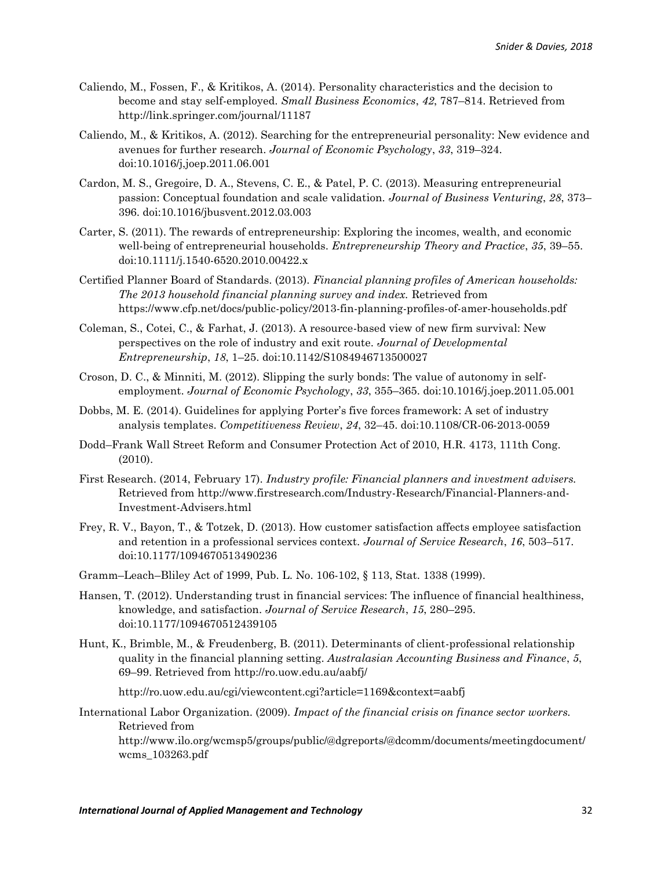- Caliendo, M., Fossen, F., & Kritikos, A. (2014). Personality characteristics and the decision to become and stay self-employed. *Small Business Economics*, *42*, 787–814. Retrieved from http://link.springer.com/journal/11187
- Caliendo, M., & Kritikos, A. (2012). Searching for the entrepreneurial personality: New evidence and avenues for further research. *Journal of Economic Psychology*, *33*, 319–324. doi:10.1016/j,joep.2011.06.001
- Cardon, M. S., Gregoire, D. A., Stevens, C. E., & Patel, P. C. (2013). Measuring entrepreneurial passion: Conceptual foundation and scale validation. *Journal of Business Venturing*, *28*, 373– 396. doi:10.1016/jbusvent.2012.03.003
- Carter, S. (2011). The rewards of entrepreneurship: Exploring the incomes, wealth, and economic well-being of entrepreneurial households. *Entrepreneurship Theory and Practice*, *35*, 39–55. doi:10.1111/j.1540-6520.2010.00422.x
- Certified Planner Board of Standards. (2013). *Financial planning profiles of American households: The 2013 household financial planning survey and index.* Retrieved from https://www.cfp.net/docs/public-policy/2013-fin-planning-profiles-of-amer-households.pdf
- Coleman, S., Cotei, C., & Farhat, J. (2013). A resource-based view of new firm survival: New perspectives on the role of industry and exit route. *Journal of Developmental Entrepreneurship*, *18*, 1–25. doi:10.1142/S1084946713500027
- Croson, D. C., & Minniti, M. (2012). Slipping the surly bonds: The value of autonomy in selfemployment. *Journal of Economic Psychology*, *33*, 355–365. doi:10.1016/j.joep.2011.05.001
- Dobbs, M. E. (2014). Guidelines for applying Porter's five forces framework: A set of industry analysis templates. *Competitiveness Review*, *24*, 32–45. doi:10.1108/CR-06-2013-0059
- Dodd–Frank Wall Street Reform and Consumer Protection Act of 2010, H.R. 4173, 111th Cong. (2010).
- First Research. (2014, February 17). *Industry profile: Financial planners and investment advisers.*  Retrieved from http://www.firstresearch.com/Industry-Research/Financial-Planners-and-Investment-Advisers.html
- Frey, R. V., Bayon, T., & Totzek, D. (2013). How customer satisfaction affects employee satisfaction and retention in a professional services context. *Journal of Service Research*, *16*, 503–517. doi:10.1177/1094670513490236
- Gramm–Leach–Bliley Act of 1999, Pub. L. No. 106-102, § 113, Stat. 1338 (1999).
- Hansen, T. (2012). Understanding trust in financial services: The influence of financial healthiness, knowledge, and satisfaction. *Journal of Service Research*, *15*, 280–295. doi:10.1177/1094670512439105
- Hunt, K., Brimble, M., & Freudenberg, B. (2011). Determinants of client-professional relationship quality in the financial planning setting. *Australasian Accounting Business and Finance*, *5*, 69–99. Retrieved from http://ro.uow.edu.au/aabfj/

http://ro.uow.edu.au/cgi/viewcontent.cgi?article=1169&context=aabfj

International Labor Organization. (2009). *Impact of the financial crisis on finance sector workers.* Retrieved from

http://www.ilo.org/wcmsp5/groups/public/@dgreports/@dcomm/documents/meetingdocument/ wcms\_103263.pdf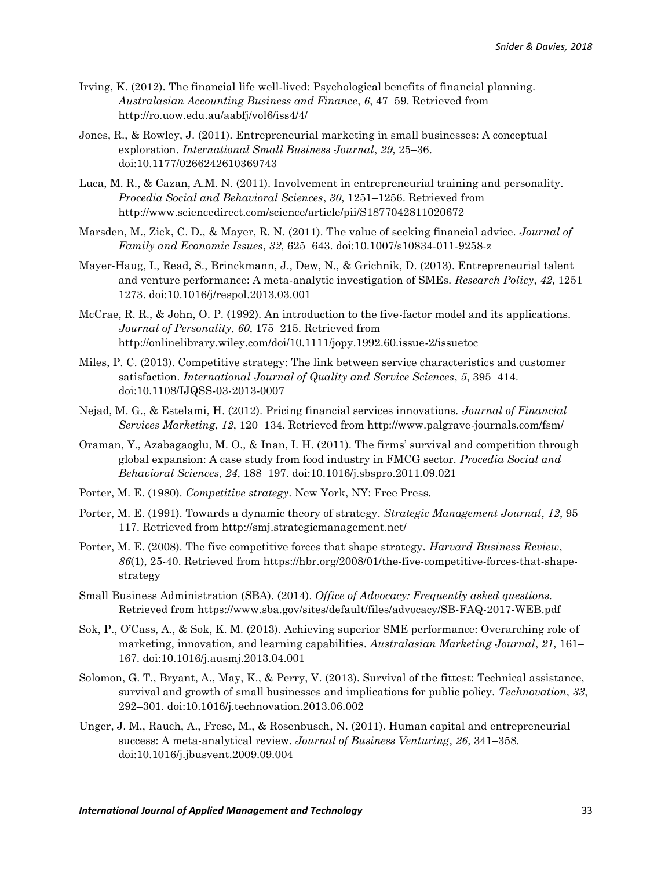- Irving, K. (2012). The financial life well-lived: Psychological benefits of financial planning. *Australasian Accounting Business and Finance*, *6*, 47–59. Retrieved from http://ro.uow.edu.au/aabfj/vol6/iss4/4/
- Jones, R., & Rowley, J. (2011). Entrepreneurial marketing in small businesses: A conceptual exploration. *International Small Business Journal*, *29*, 25–36. doi:10.1177/0266242610369743
- Luca, M. R., & Cazan, A.M. N. (2011). Involvement in entrepreneurial training and personality. *Procedia Social and Behavioral Sciences*, *30*, 1251–1256. Retrieved from http://www.sciencedirect.com/science/article/pii/S1877042811020672
- Marsden, M., Zick, C. D., & Mayer, R. N. (2011). The value of seeking financial advice. *Journal of Family and Economic Issues*, *32*, 625–643. doi:10.1007/s10834-011-9258-z
- Mayer-Haug, I., Read, S., Brinckmann, J., Dew, N., & Grichnik, D. (2013). Entrepreneurial talent and venture performance: A meta-analytic investigation of SMEs. *Research Policy*, *42*, 1251– 1273. doi:10.1016/j/respol.2013.03.001
- McCrae, R. R., & John, O. P. (1992). An introduction to the five-factor model and its applications. *Journal of Personality*, *60*, 175–215. Retrieved from http://onlinelibrary.wiley.com/doi/10.1111/jopy.1992.60.issue-2/issuetoc
- Miles, P. C. (2013). Competitive strategy: The link between service characteristics and customer satisfaction. *International Journal of Quality and Service Sciences*, *5*, 395–414. doi:10.1108/IJQSS-03-2013-0007
- Nejad, M. G., & Estelami, H. (2012). Pricing financial services innovations. *Journal of Financial Services Marketing*, *12*, 120–134. Retrieved from http://www.palgrave-journals.com/fsm/
- Oraman, Y., Azabagaoglu, M. O., & Inan, I. H. (2011). The firms' survival and competition through global expansion: A case study from food industry in FMCG sector. *Procedia Social and Behavioral Sciences*, *24*, 188–197. doi:10.1016/j.sbspro.2011.09.021
- Porter, M. E. (1980). *Competitive strategy*. New York, NY: Free Press.
- Porter, M. E. (1991). Towards a dynamic theory of strategy. *Strategic Management Journal*, *12*, 95– 117. Retrieved from http://smj.strategicmanagement.net/
- Porter, M. E. (2008). The five competitive forces that shape strategy. *Harvard Business Review*, *86*(1), 25-40. Retrieved from https://hbr.org/2008/01/the-five-competitive-forces-that-shapestrategy
- Small Business Administration (SBA). (2014). *Office of Advocacy: Frequently asked questions.* Retrieved from https://www.sba.gov/sites/default/files/advocacy/SB-FAQ-2017-WEB.pdf
- Sok, P., O'Cass, A., & Sok, K. M. (2013). Achieving superior SME performance: Overarching role of marketing, innovation, and learning capabilities. *Australasian Marketing Journal*, *21*, 161– 167. doi:10.1016/j.ausmj.2013.04.001
- Solomon, G. T., Bryant, A., May, K., & Perry, V. (2013). Survival of the fittest: Technical assistance, survival and growth of small businesses and implications for public policy. *Technovation*, *33*, 292–301. doi:10.1016/j.technovation.2013.06.002
- Unger, J. M., Rauch, A., Frese, M., & Rosenbusch, N. (2011). Human capital and entrepreneurial success: A meta-analytical review. *Journal of Business Venturing*, *26*, 341–358. doi:10.1016/j.jbusvent.2009.09.004